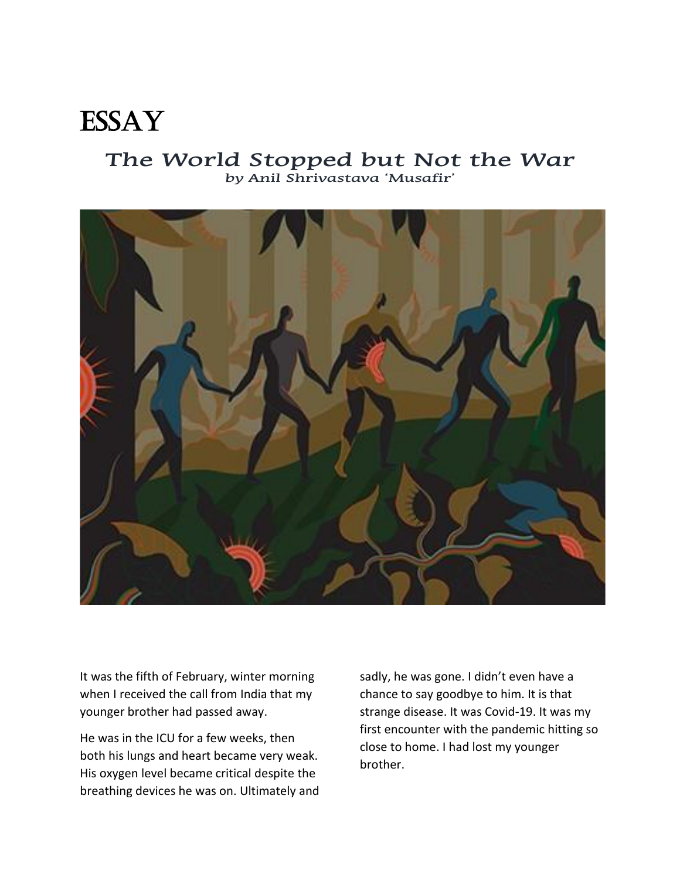## **ESSAY**

## **The World Stopped but Not the War by Anil Shrivastava 'Musafir'**



It was the fifth of February, winter morning when I received the call from India that my younger brother had passed away.

He was in the ICU for a few weeks, then both his lungs and heart became very weak. His oxygen level became critical despite the breathing devices he was on. Ultimately and sadly, he was gone. I didn't even have a chance to say goodbye to him. It is that strange disease. It was Covid-19. It was my first encounter with the pandemic hitting so close to home. I had lost my younger brother.